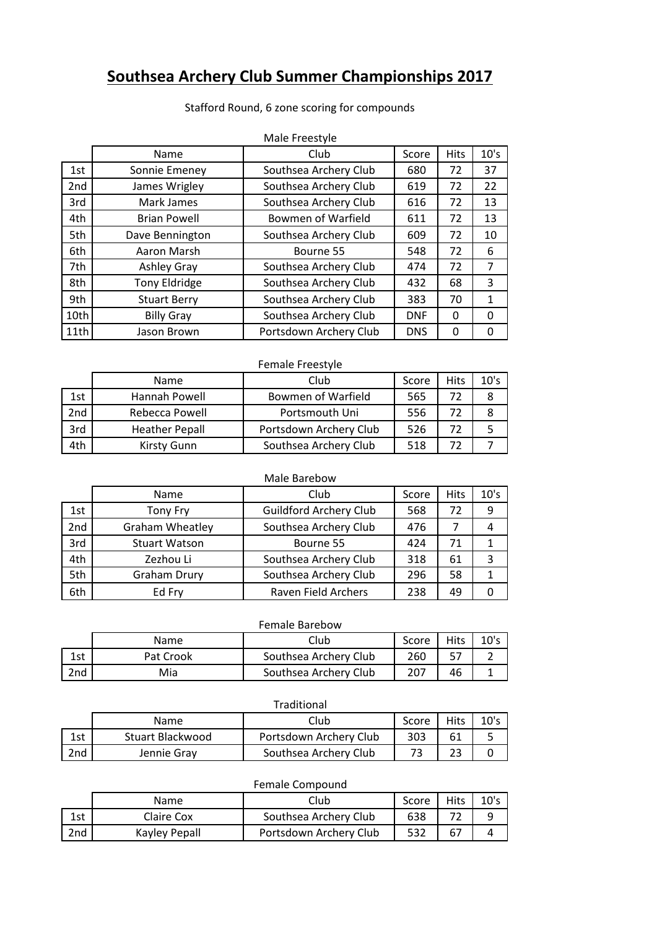# **Southsea Archery Club Summer Championships 2017**

| Stafford Round, 6 zone scoring for compounds |                |         |      |  |  |  |
|----------------------------------------------|----------------|---------|------|--|--|--|
|                                              | Male Freestyle |         |      |  |  |  |
| <b>N</b>                                     | ∽ا…ا           | $C - C$ | 1.11 |  |  |  |

|      | Name                | Club                      | Score      | <b>Hits</b> | 10's           |
|------|---------------------|---------------------------|------------|-------------|----------------|
| 1st  | Sonnie Emeney       | Southsea Archery Club     | 680        | 72          | 37             |
| 2nd  | James Wrigley       | Southsea Archery Club     | 619        | 72          | 22             |
| 3rd  | Mark James          | Southsea Archery Club     | 616        | 72          | 13             |
| 4th  | <b>Brian Powell</b> | <b>Bowmen of Warfield</b> | 611        | 72          | 13             |
| 5th  | Dave Bennington     | Southsea Archery Club     | 609        | 72          | 10             |
| 6th  | Aaron Marsh         | Bourne 55                 | 548        | 72          | 6              |
| 7th  | Ashley Gray         | Southsea Archery Club     | 474        | 72          | $\overline{7}$ |
| 8th  | Tony Eldridge       | Southsea Archery Club     | 432        | 68          | 3              |
| 9th  | <b>Stuart Berry</b> | Southsea Archery Club     | 383        | 70          | 1              |
| 10th | <b>Billy Gray</b>   | Southsea Archery Club     | <b>DNF</b> | 0           | 0              |
| 11th | Jason Brown         | Portsdown Archery Club    | <b>DNS</b> | 0           | 0              |

#### Female Freestyle

|     | <b>Name</b>           | Club                      | Score | <b>Hits</b> | 10's |
|-----|-----------------------|---------------------------|-------|-------------|------|
| 1st | Hannah Powell         | <b>Bowmen of Warfield</b> | 565   | 77          |      |
| 2nd | Rebecca Powell        | Portsmouth Uni            | 556   |             |      |
| 3rd | <b>Heather Pepall</b> | Portsdown Archery Club    | 526   | 72          |      |
| 4th | Kirsty Gunn           | Southsea Archery Club     | 518   |             |      |

# Male Barebow

|     | Name                 | Club                          | Score | <b>Hits</b> | 10's |
|-----|----------------------|-------------------------------|-------|-------------|------|
| 1st | <b>Tony Fry</b>      | <b>Guildford Archery Club</b> |       | 72          | 9    |
| 2nd | Graham Wheatley      | Southsea Archery Club         | 476   |             |      |
| 3rd | <b>Stuart Watson</b> | 424<br>Bourne 55              |       | 71          |      |
| 4th | Zezhou Li            | Southsea Archery Club         | 318   | 61          | 3    |
| 5th | <b>Graham Drury</b>  | Southsea Archery Club<br>296  |       | 58          |      |
| 6th | Ed Fry               | Raven Field Archers           | 238   | 49          |      |

## Female Barebow

|     | Name      | Club                  | Score | Hits | 10's |
|-----|-----------|-----------------------|-------|------|------|
| 1st | Pat Crook | Southsea Archery Club | 260   |      |      |
| 2nd | Mia       | Southsea Archery Club |       | 46   |      |

## Traditional

|            | Name             | Club                   | Score | <b>Hits</b> |  |
|------------|------------------|------------------------|-------|-------------|--|
| 1 ct<br>ᅩコ | Stuart Blackwood | Portsdown Archery Club | 303   |             |  |
| 2nd        | Jennie Grav      | Southsea Archery Club  |       | າາ          |  |

## Female Compound

|                 | <b>Name</b>   | Club                   | Score | <b>Hits</b> | 10's |
|-----------------|---------------|------------------------|-------|-------------|------|
| 1 ct<br>ᅩఎᄔ     | Claire Cox    | Southsea Archery Club  | 638   |             |      |
| 2 <sub>nd</sub> | Kayley Pepall | Portsdown Archery Club | 532   | 67          |      |